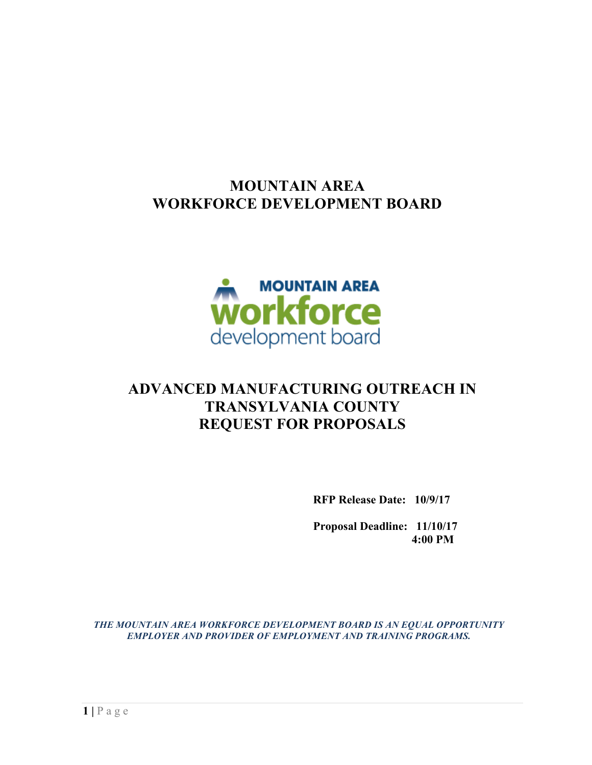## **MOUNTAIN AREA WORKFORCE DEVELOPMENT BOARD**



# **ADVANCED MANUFACTURING OUTREACH IN TRANSYLVANIA COUNTY REQUEST FOR PROPOSALS**

**RFP Release Date: 10/9/17**

**Proposal Deadline: 11/10/17 4:00 PM**

*THE MOUNTAIN AREA WORKFORCE DEVELOPMENT BOARD IS AN EQUAL OPPORTUNITY EMPLOYER AND PROVIDER OF EMPLOYMENT AND TRAINING PROGRAMS.*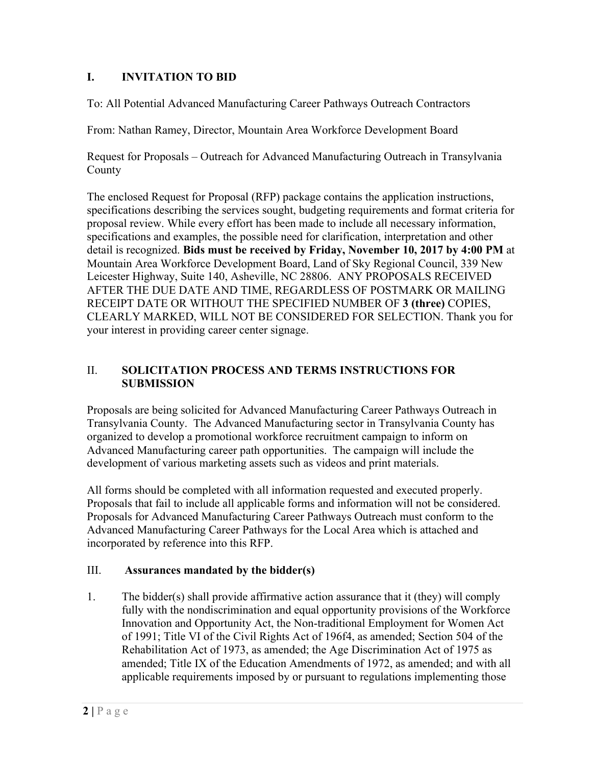#### **I. INVITATION TO BID**

To: All Potential Advanced Manufacturing Career Pathways Outreach Contractors

From: Nathan Ramey, Director, Mountain Area Workforce Development Board

Request for Proposals – Outreach for Advanced Manufacturing Outreach in Transylvania **County** 

The enclosed Request for Proposal (RFP) package contains the application instructions, specifications describing the services sought, budgeting requirements and format criteria for proposal review. While every effort has been made to include all necessary information, specifications and examples, the possible need for clarification, interpretation and other detail is recognized. **Bids must be received by Friday, November 10, 2017 by 4:00 PM** at Mountain Area Workforce Development Board, Land of Sky Regional Council, 339 New Leicester Highway, Suite 140, Asheville, NC 28806. ANY PROPOSALS RECEIVED AFTER THE DUE DATE AND TIME, REGARDLESS OF POSTMARK OR MAILING RECEIPT DATE OR WITHOUT THE SPECIFIED NUMBER OF **3 (three)** COPIES, CLEARLY MARKED, WILL NOT BE CONSIDERED FOR SELECTION. Thank you for your interest in providing career center signage.

#### II. **SOLICITATION PROCESS AND TERMS INSTRUCTIONS FOR SUBMISSION**

Proposals are being solicited for Advanced Manufacturing Career Pathways Outreach in Transylvania County. The Advanced Manufacturing sector in Transylvania County has organized to develop a promotional workforce recruitment campaign to inform on Advanced Manufacturing career path opportunities. The campaign will include the development of various marketing assets such as videos and print materials.

All forms should be completed with all information requested and executed properly. Proposals that fail to include all applicable forms and information will not be considered. Proposals for Advanced Manufacturing Career Pathways Outreach must conform to the Advanced Manufacturing Career Pathways for the Local Area which is attached and incorporated by reference into this RFP.

#### III. **Assurances mandated by the bidder(s)**

1. The bidder(s) shall provide affirmative action assurance that it (they) will comply fully with the nondiscrimination and equal opportunity provisions of the Workforce Innovation and Opportunity Act, the Non-traditional Employment for Women Act of 1991; Title VI of the Civil Rights Act of 196f4, as amended; Section 504 of the Rehabilitation Act of 1973, as amended; the Age Discrimination Act of 1975 as amended; Title IX of the Education Amendments of 1972, as amended; and with all applicable requirements imposed by or pursuant to regulations implementing those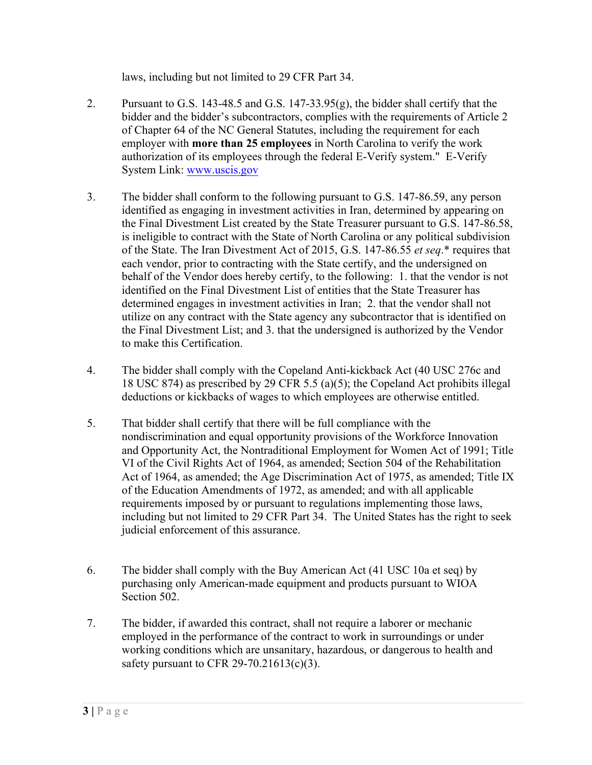laws, including but not limited to 29 CFR Part 34.

- 2. Pursuant to G.S. 143-48.5 and G.S. 147-33.95(g), the bidder shall certify that the bidder and the bidder's subcontractors, complies with the requirements of Article 2 of Chapter 64 of the NC General Statutes, including the requirement for each employer with **more than 25 employees** in North Carolina to verify the work authorization of its employees through the federal E-Verify system." E-Verify System Link: www.uscis.gov
- 3. The bidder shall conform to the following pursuant to G.S. 147-86.59, any person identified as engaging in investment activities in Iran, determined by appearing on the Final Divestment List created by the State Treasurer pursuant to G.S. 147-86.58, is ineligible to contract with the State of North Carolina or any political subdivision of the State. The Iran Divestment Act of 2015, G.S. 147-86.55 *et seq*.\* requires that each vendor, prior to contracting with the State certify, and the undersigned on behalf of the Vendor does hereby certify, to the following: 1. that the vendor is not identified on the Final Divestment List of entities that the State Treasurer has determined engages in investment activities in Iran; 2. that the vendor shall not utilize on any contract with the State agency any subcontractor that is identified on the Final Divestment List; and 3. that the undersigned is authorized by the Vendor to make this Certification.
- 4. The bidder shall comply with the Copeland Anti-kickback Act (40 USC 276c and 18 USC 874) as prescribed by 29 CFR 5.5 (a)(5); the Copeland Act prohibits illegal deductions or kickbacks of wages to which employees are otherwise entitled.
- 5. That bidder shall certify that there will be full compliance with the nondiscrimination and equal opportunity provisions of the Workforce Innovation and Opportunity Act, the Nontraditional Employment for Women Act of 1991; Title VI of the Civil Rights Act of 1964, as amended; Section 504 of the Rehabilitation Act of 1964, as amended; the Age Discrimination Act of 1975, as amended; Title IX of the Education Amendments of 1972, as amended; and with all applicable requirements imposed by or pursuant to regulations implementing those laws, including but not limited to 29 CFR Part 34. The United States has the right to seek judicial enforcement of this assurance.
- 6. The bidder shall comply with the Buy American Act (41 USC 10a et seq) by purchasing only American-made equipment and products pursuant to WIOA Section 502.
- 7. The bidder, if awarded this contract, shall not require a laborer or mechanic employed in the performance of the contract to work in surroundings or under working conditions which are unsanitary, hazardous, or dangerous to health and safety pursuant to CFR 29-70.21613(c)(3).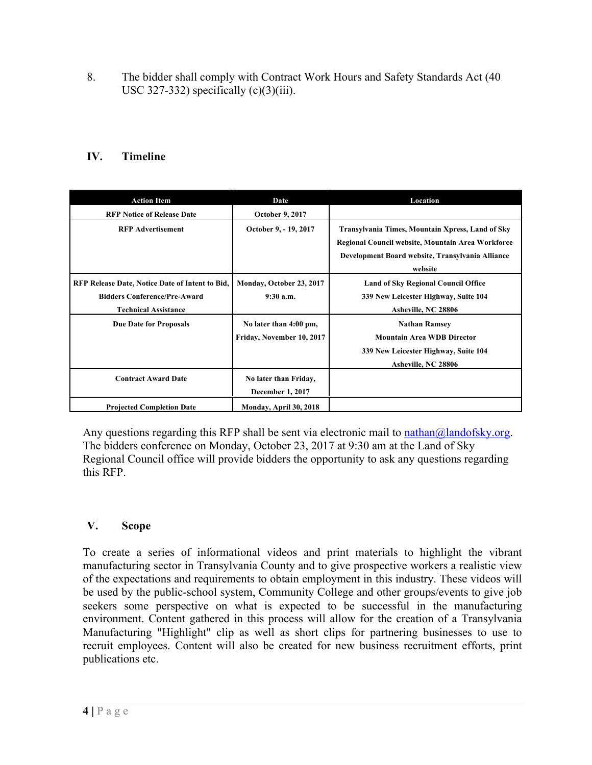8. The bidder shall comply with Contract Work Hours and Safety Standards Act (40 USC 327-332) specifically  $(c)(3)(iii)$ .

## **IV. Timeline**

| <b>Action Item</b>                                                                                                    | Date                                                | Location                                                                                                                                                             |
|-----------------------------------------------------------------------------------------------------------------------|-----------------------------------------------------|----------------------------------------------------------------------------------------------------------------------------------------------------------------------|
| <b>RFP Notice of Release Date</b>                                                                                     | <b>October 9, 2017</b>                              |                                                                                                                                                                      |
| <b>RFP Advertisement</b>                                                                                              | October 9, - 19, 2017                               | Transylvania Times, Mountain Xpress, Land of Sky<br>Regional Council website, Mountain Area Workforce<br>Development Board website, Transylvania Alliance<br>website |
| RFP Release Date, Notice Date of Intent to Bid,<br><b>Bidders Conference/Pre-Award</b><br><b>Technical Assistance</b> | Monday, October 23, 2017<br>9:30a.m.                | <b>Land of Sky Regional Council Office</b><br>339 New Leicester Highway, Suite 104<br>Asheville, NC 28806                                                            |
| <b>Due Date for Proposals</b>                                                                                         | No later than 4:00 pm,<br>Friday, November 10, 2017 | <b>Nathan Ramsey</b><br><b>Mountain Area WDB Director</b><br>339 New Leicester Highway, Suite 104<br>Asheville, NC 28806                                             |
| <b>Contract Award Date</b>                                                                                            | No later than Friday,<br>December 1, 2017           |                                                                                                                                                                      |
| <b>Projected Completion Date</b>                                                                                      | Monday, April 30, 2018                              |                                                                                                                                                                      |

Any questions regarding this RFP shall be sent via electronic mail to nathan $\omega$ landofsky.org. The bidders conference on Monday, October 23, 2017 at 9:30 am at the Land of Sky Regional Council office will provide bidders the opportunity to ask any questions regarding this RFP.

## **V. Scope**

To create a series of informational videos and print materials to highlight the vibrant manufacturing sector in Transylvania County and to give prospective workers a realistic view of the expectations and requirements to obtain employment in this industry. These videos will be used by the public-school system, Community College and other groups/events to give job seekers some perspective on what is expected to be successful in the manufacturing environment. Content gathered in this process will allow for the creation of a Transylvania Manufacturing "Highlight" clip as well as short clips for partnering businesses to use to recruit employees. Content will also be created for new business recruitment efforts, print publications etc.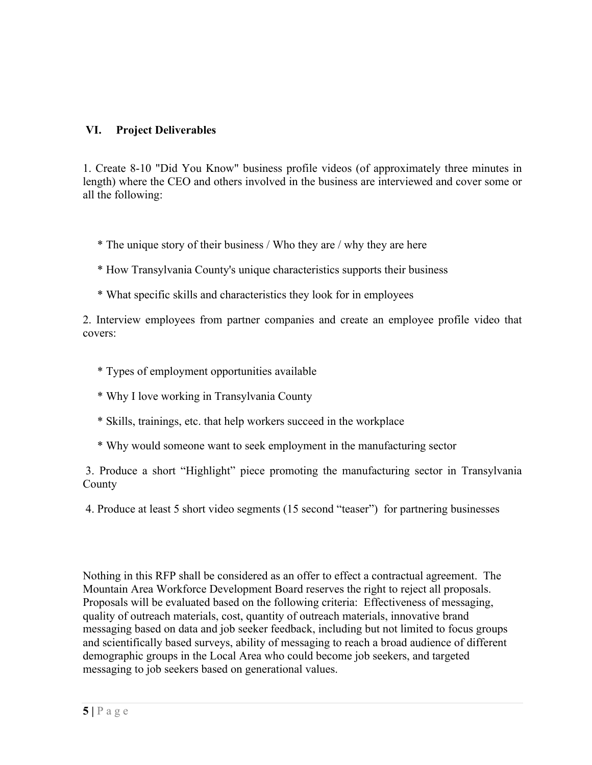#### **VI. Project Deliverables**

1. Create 8-10 "Did You Know" business profile videos (of approximately three minutes in length) where the CEO and others involved in the business are interviewed and cover some or all the following:

\* The unique story of their business / Who they are / why they are here

- \* How Transylvania County's unique characteristics supports their business
- \* What specific skills and characteristics they look for in employees

2. Interview employees from partner companies and create an employee profile video that covers:

- \* Types of employment opportunities available
- \* Why I love working in Transylvania County
- \* Skills, trainings, etc. that help workers succeed in the workplace
- \* Why would someone want to seek employment in the manufacturing sector

3. Produce a short "Highlight" piece promoting the manufacturing sector in Transylvania County

4. Produce at least 5 short video segments (15 second "teaser") for partnering businesses

Nothing in this RFP shall be considered as an offer to effect a contractual agreement. The Mountain Area Workforce Development Board reserves the right to reject all proposals. Proposals will be evaluated based on the following criteria: Effectiveness of messaging, quality of outreach materials, cost, quantity of outreach materials, innovative brand messaging based on data and job seeker feedback, including but not limited to focus groups and scientifically based surveys, ability of messaging to reach a broad audience of different demographic groups in the Local Area who could become job seekers, and targeted messaging to job seekers based on generational values.